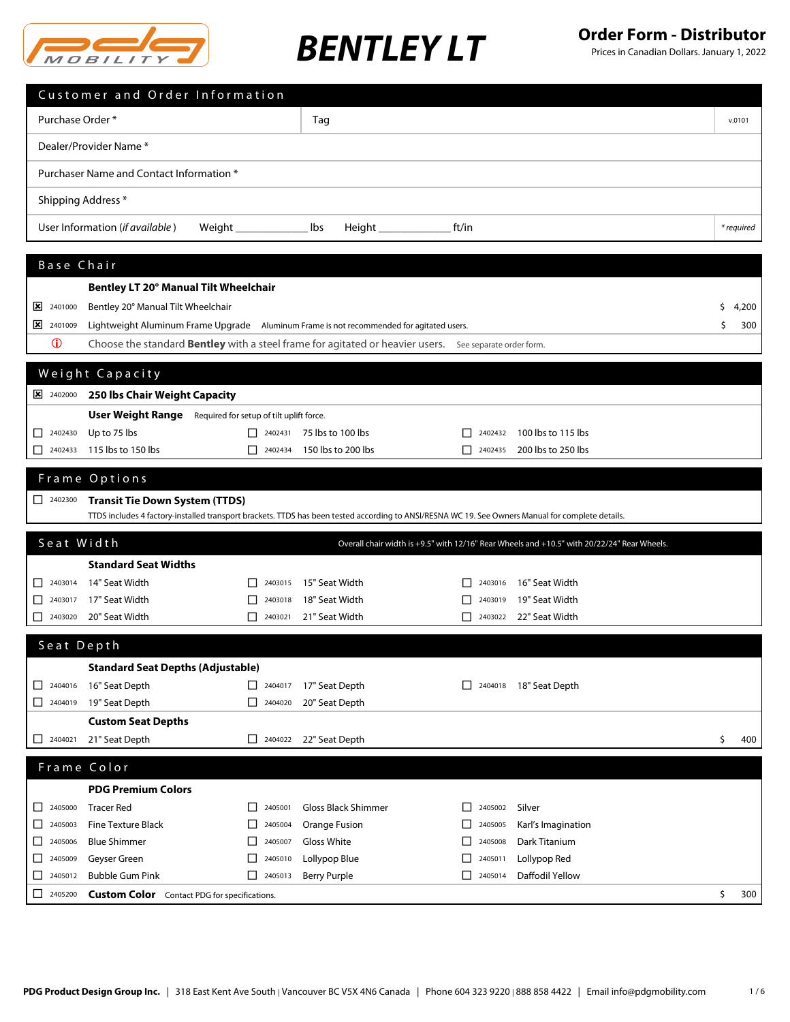

|                                                     | Customer and Order Information                                                                         |                                                     |                                  |                                                                                                                                                   |            |
|-----------------------------------------------------|--------------------------------------------------------------------------------------------------------|-----------------------------------------------------|----------------------------------|---------------------------------------------------------------------------------------------------------------------------------------------------|------------|
| Purchase Order*                                     |                                                                                                        |                                                     | Taq                              |                                                                                                                                                   | v.0101     |
|                                                     | Dealer/Provider Name*                                                                                  |                                                     |                                  |                                                                                                                                                   |            |
|                                                     | Purchaser Name and Contact Information *                                                               |                                                     |                                  |                                                                                                                                                   |            |
|                                                     |                                                                                                        |                                                     |                                  |                                                                                                                                                   |            |
| Shipping Address *                                  |                                                                                                        |                                                     |                                  |                                                                                                                                                   |            |
|                                                     | User Information (if available)                                                                        |                                                     | lbs<br>Height _______________    | ft/in                                                                                                                                             | * required |
| Base Chair                                          |                                                                                                        |                                                     |                                  |                                                                                                                                                   |            |
|                                                     | Bentley LT 20° Manual Tilt Wheelchair                                                                  |                                                     |                                  |                                                                                                                                                   |            |
| 2401000<br>⊠                                        | Bentley 20° Manual Tilt Wheelchair                                                                     |                                                     |                                  |                                                                                                                                                   | 4,200<br>s |
| $\frac{\times}{2401009}$                            | Lightweight Aluminum Frame Upgrade Aluminum Frame is not recommended for agitated users.               |                                                     |                                  |                                                                                                                                                   | 300<br>\$  |
| $\mathbf 0$                                         | Choose the standard Bentley with a steel frame for agitated or heavier users. See separate order form. |                                                     |                                  |                                                                                                                                                   |            |
|                                                     |                                                                                                        |                                                     |                                  |                                                                                                                                                   |            |
|                                                     | Weight Capacity                                                                                        |                                                     |                                  |                                                                                                                                                   |            |
| 2402000                                             | 250 Ibs Chair Weight Capacity                                                                          |                                                     |                                  |                                                                                                                                                   |            |
|                                                     | <b>User Weight Range</b> Required for setup of tilt uplift force.                                      |                                                     |                                  |                                                                                                                                                   |            |
| $\Box$ 2402430                                      | Up to 75 lbs                                                                                           |                                                     | $\Box$ 2402431 75 lbs to 100 lbs | 100 lbs to 115 lbs<br>2402432                                                                                                                     |            |
| 2402433                                             | 115 lbs to 150 lbs                                                                                     | $\begin{array}{ c c }\n\hline\n\end{array}$ 2402434 | 150 lbs to 200 lbs               | П<br>200 lbs to 250 lbs<br>2402435                                                                                                                |            |
|                                                     | Frame Options                                                                                          |                                                     |                                  |                                                                                                                                                   |            |
| $2402300$                                           | <b>Transit Tie Down System (TTDS)</b>                                                                  |                                                     |                                  |                                                                                                                                                   |            |
|                                                     |                                                                                                        |                                                     |                                  | TTDS includes 4 factory-installed transport brackets. TTDS has been tested according to ANSI/RESNA WC 19. See Owners Manual for complete details. |            |
| Seat Width                                          |                                                                                                        |                                                     |                                  | Overall chair width is +9.5" with 12/16" Rear Wheels and +10.5" with 20/22/24" Rear Wheels.                                                       |            |
|                                                     | <b>Standard Seat Widths</b>                                                                            |                                                     |                                  |                                                                                                                                                   |            |
| $\begin{array}{ c c }\n\hline\n\end{array}$ 2403014 | 14" Seat Width                                                                                         | $\Box$ 2403015                                      | 15" Seat Width                   | 16" Seat Width<br>2403016                                                                                                                         |            |
| ப                                                   | 2403017 17" Seat Width                                                                                 | 2403018                                             | 18" Seat Width                   | 19" Seat Width<br>2403019                                                                                                                         |            |
| $2403020$                                           | 20" Seat Width                                                                                         | $1 \mid 2403021$                                    | 21" Seat Width                   | 22" Seat Width<br>$\Box$ 2403022                                                                                                                  |            |
| Seat Depth                                          |                                                                                                        |                                                     |                                  |                                                                                                                                                   |            |
|                                                     | <b>Standard Seat Depths (Adjustable)</b>                                                               |                                                     |                                  |                                                                                                                                                   |            |
| $\Box$ 2404016                                      | 16" Seat Depth                                                                                         | $\Box$ 2404017                                      | 17" Seat Depth                   | 2404018 18" Seat Depth<br>ப                                                                                                                       |            |
| $\Box$ 2404019                                      | 19" Seat Depth                                                                                         | $\Box$ 2404020                                      | 20" Seat Depth                   |                                                                                                                                                   |            |
|                                                     | <b>Custom Seat Depths</b>                                                                              |                                                     |                                  |                                                                                                                                                   |            |
| 2404021                                             | 21" Seat Depth                                                                                         | П<br>2404022                                        | 22" Seat Depth                   |                                                                                                                                                   | \$<br>400  |
| Frame Color                                         |                                                                                                        |                                                     |                                  |                                                                                                                                                   |            |
|                                                     | <b>PDG Premium Colors</b>                                                                              |                                                     |                                  |                                                                                                                                                   |            |
| $\begin{array}{ c c }\n\hline\n\end{array}$ 2405000 | <b>Tracer Red</b>                                                                                      | $\boxed{\phantom{1}}$ 2405001                       | Gloss Black Shimmer              | Silver<br>2405002<br>$\perp$                                                                                                                      |            |
| □<br>2405003                                        | <b>Fine Texture Black</b>                                                                              | 2405004<br>⊔                                        | Orange Fusion                    | Karl's Imagination<br>$\Box$<br>2405005                                                                                                           |            |
| 2405006<br>ш.                                       | <b>Blue Shimmer</b>                                                                                    | 2405007<br>⊔                                        | Gloss White                      | Dark Titanium<br>⊔<br>2405008                                                                                                                     |            |
| 2405009<br>ப                                        | Geyser Green                                                                                           | 2405010<br>ப                                        | Lollypop Blue                    | Lollypop Red<br>2405011<br>ΙI                                                                                                                     |            |
| 2405012<br>□                                        | <b>Bubble Gum Pink</b>                                                                                 | $\Box$ 2405013                                      | <b>Berry Purple</b>              | Daffodil Yellow<br>П<br>2405014                                                                                                                   |            |
| 2405200<br>□                                        | <b>Custom Color</b> Contact PDG for specifications.                                                    |                                                     |                                  |                                                                                                                                                   | \$<br>300  |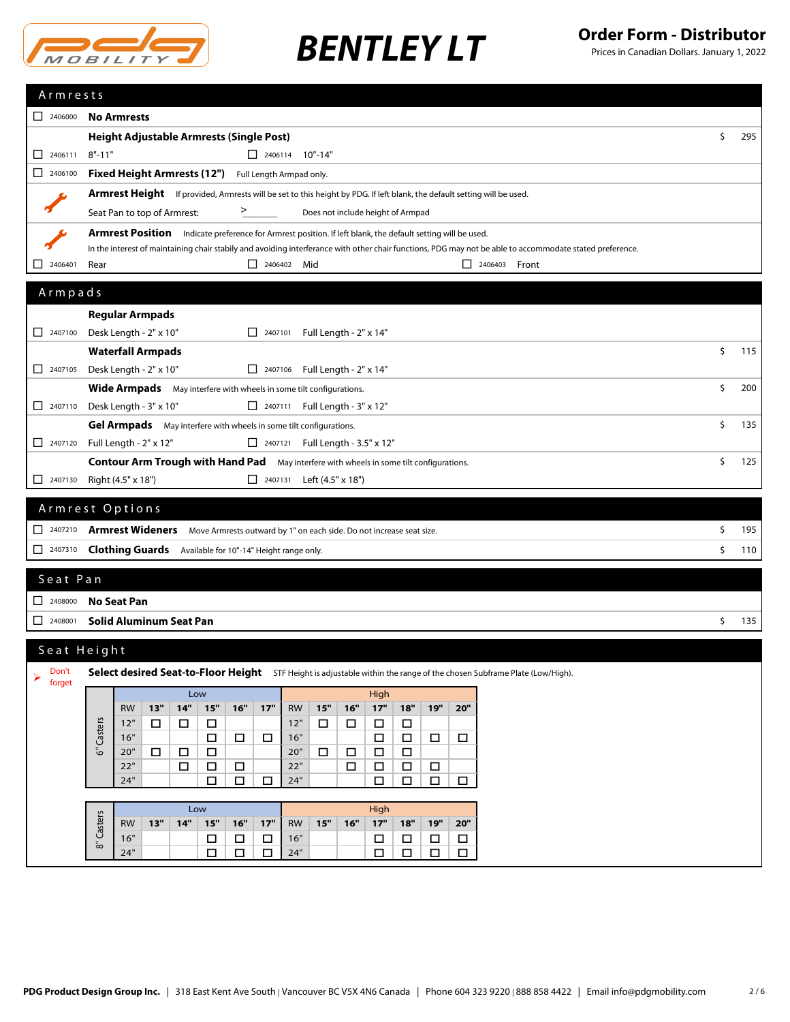

| $2406000$                                                     |                                                                                                                          |                                                                      |                                       |                                      |                                      |                                                                                                                                                          |    |     |  |  |  |
|---------------------------------------------------------------|--------------------------------------------------------------------------------------------------------------------------|----------------------------------------------------------------------|---------------------------------------|--------------------------------------|--------------------------------------|----------------------------------------------------------------------------------------------------------------------------------------------------------|----|-----|--|--|--|
|                                                               | <b>No Armrests</b>                                                                                                       |                                                                      |                                       |                                      |                                      |                                                                                                                                                          |    |     |  |  |  |
|                                                               | <b>Height Adjustable Armrests (Single Post)</b>                                                                          |                                                                      |                                       |                                      |                                      |                                                                                                                                                          |    |     |  |  |  |
| 2406111<br>◻                                                  | $8" - 11"$                                                                                                               | $\Box$ 2406114 10"-14"                                               |                                       |                                      |                                      |                                                                                                                                                          |    |     |  |  |  |
| $\Box$<br>2406100                                             | <b>Fixed Height Armrests (12")</b>                                                                                       | Full Length Armpad only.                                             |                                       |                                      |                                      |                                                                                                                                                          |    |     |  |  |  |
|                                                               | Armrest Height If provided, Armrests will be set to this height by PDG. If left blank, the default setting will be used. |                                                                      |                                       |                                      |                                      |                                                                                                                                                          |    |     |  |  |  |
|                                                               | ⋗<br>Seat Pan to top of Armrest:<br>Does not include height of Armpad                                                    |                                                                      |                                       |                                      |                                      |                                                                                                                                                          |    |     |  |  |  |
|                                                               | Armrest Position Indicate preference for Armrest position. If left blank, the default setting will be used.              |                                                                      |                                       |                                      |                                      |                                                                                                                                                          |    |     |  |  |  |
|                                                               |                                                                                                                          |                                                                      |                                       |                                      |                                      | In the interest of maintaining chair stabily and avoiding interferance with other chair functions, PDG may not be able to accommodate stated preference. |    |     |  |  |  |
| $2406401$                                                     | Rear                                                                                                                     | $\Box$ 2406402 Mid                                                   |                                       |                                      |                                      | $\Box$ 2406403 Front                                                                                                                                     |    |     |  |  |  |
| Armpads                                                       |                                                                                                                          |                                                                      |                                       |                                      |                                      |                                                                                                                                                          |    |     |  |  |  |
|                                                               | <b>Regular Armpads</b>                                                                                                   |                                                                      |                                       |                                      |                                      |                                                                                                                                                          |    |     |  |  |  |
| 2407100                                                       | Desk Length - 2" x 10"                                                                                                   |                                                                      | 2407101 Full Length - $2" \times 14"$ |                                      |                                      |                                                                                                                                                          |    |     |  |  |  |
|                                                               | <b>Waterfall Armpads</b>                                                                                                 |                                                                      |                                       |                                      |                                      |                                                                                                                                                          | \$ | 115 |  |  |  |
| $\Box$ 2407105                                                | Desk Length - 2" x 10"                                                                                                   |                                                                      | 2407106 Full Length - $2" \times 14"$ |                                      |                                      |                                                                                                                                                          |    |     |  |  |  |
|                                                               | Wide Armpads May interfere with wheels in some tilt configurations.                                                      |                                                                      |                                       |                                      |                                      |                                                                                                                                                          | \$ | 200 |  |  |  |
| $\Box$ 2407110                                                | Desk Length - 3" x 10"                                                                                                   |                                                                      | □ 2407111 Full Length - 3" x 12"      |                                      |                                      |                                                                                                                                                          |    |     |  |  |  |
|                                                               | Gel Armpads May interfere with wheels in some tilt configurations.                                                       |                                                                      |                                       |                                      |                                      |                                                                                                                                                          | \$ | 135 |  |  |  |
| 2407120                                                       | Full Length - 2" x 12"                                                                                                   |                                                                      | 2407121 Full Length - 3.5" x 12"      |                                      |                                      |                                                                                                                                                          |    |     |  |  |  |
|                                                               | <b>Contour Arm Trough with Hand Pad</b> May interfere with wheels in some tilt configurations.                           |                                                                      |                                       |                                      |                                      |                                                                                                                                                          | Ś. | 125 |  |  |  |
| 2407130                                                       | Right (4.5" x 18")                                                                                                       |                                                                      | 2407131 Left (4.5" x 18")             |                                      |                                      |                                                                                                                                                          |    |     |  |  |  |
|                                                               |                                                                                                                          |                                                                      |                                       |                                      |                                      |                                                                                                                                                          |    |     |  |  |  |
|                                                               | Armrest Options                                                                                                          |                                                                      |                                       |                                      |                                      |                                                                                                                                                          |    |     |  |  |  |
|                                                               |                                                                                                                          |                                                                      |                                       |                                      |                                      |                                                                                                                                                          |    |     |  |  |  |
| 2407210                                                       | <b>Armrest Wideners</b>                                                                                                  | Move Armrests outward by 1" on each side. Do not increase seat size. |                                       |                                      |                                      |                                                                                                                                                          | \$ | 195 |  |  |  |
| 2407310                                                       | <b>Clothing Guards</b> Available for 10"-14" Height range only.                                                          |                                                                      |                                       |                                      |                                      |                                                                                                                                                          | \$ | 110 |  |  |  |
|                                                               |                                                                                                                          |                                                                      |                                       |                                      |                                      |                                                                                                                                                          |    |     |  |  |  |
| Seat Pan                                                      |                                                                                                                          |                                                                      |                                       |                                      |                                      |                                                                                                                                                          |    |     |  |  |  |
| $\begin{array}{ c c c }\n\hline\n\text{2408000}\n\end{array}$ | <b>No Seat Pan</b>                                                                                                       |                                                                      |                                       |                                      |                                      |                                                                                                                                                          |    |     |  |  |  |
| $\Box$ 2408001                                                | <b>Solid Aluminum Seat Pan</b>                                                                                           |                                                                      |                                       |                                      |                                      |                                                                                                                                                          | \$ | 135 |  |  |  |
|                                                               | Seat Height                                                                                                              |                                                                      |                                       |                                      |                                      |                                                                                                                                                          |    |     |  |  |  |
| Don't                                                         |                                                                                                                          |                                                                      |                                       |                                      |                                      |                                                                                                                                                          |    |     |  |  |  |
| ➤<br>forget                                                   | Select desired Seat-to-Floor Height STF Height is adjustable within the range of the chosen Subframe Plate (Low/High).   |                                                                      |                                       |                                      |                                      |                                                                                                                                                          |    |     |  |  |  |
|                                                               | Low<br>13"<br>14"<br>$15"$<br><b>RW</b>                                                                                  | 16"<br>17"<br><b>RW</b>                                              | 15"<br>16"                            | High<br>$17"$<br>18"                 | 20"<br>19"                           |                                                                                                                                                          |    |     |  |  |  |
|                                                               | 12"<br>□<br>$\Box$<br>$\Box$                                                                                             | 12"                                                                  | $\Box$<br>$\Box$                      | $\Box$<br>□                          |                                      |                                                                                                                                                          |    |     |  |  |  |
|                                                               | Casters<br>16"<br>$\Box$                                                                                                 | 16"<br>$\Box$<br>$\Box$                                              |                                       | $\Box$<br>$\Box$                     | $\Box$<br>$\Box$                     |                                                                                                                                                          |    |     |  |  |  |
|                                                               | قً<br>20"<br>□<br>$\Box$<br>$\Box$                                                                                       | 20"                                                                  | $\Box$<br>$\Box$                      | $\Box$<br>$\Box$                     |                                      |                                                                                                                                                          |    |     |  |  |  |
|                                                               | 22"<br>$\Box$<br>□<br>24"<br>□                                                                                           | 22"<br>$\Box$<br>24"<br>$\Box$<br>$\Box$                             | $\Box$                                | $\Box$<br>$\Box$<br>$\Box$<br>$\Box$ | $\Box$                               |                                                                                                                                                          |    |     |  |  |  |
|                                                               |                                                                                                                          |                                                                      |                                       |                                      | $\Box$<br>$\Box$                     |                                                                                                                                                          |    |     |  |  |  |
|                                                               | Low                                                                                                                      |                                                                      |                                       | High                                 |                                      |                                                                                                                                                          |    |     |  |  |  |
|                                                               | Casters<br>13"<br>14"<br>$15"$<br><b>RW</b>                                                                              | $16"$<br>17"<br><b>RW</b>                                            | 15"<br>16"                            | $17"$<br>$18"$                       | 19"<br>20"                           |                                                                                                                                                          |    |     |  |  |  |
|                                                               | 16"<br>□<br>ā<br>24"<br>$\Box$                                                                                           | 16"<br>$\Box$<br>$\Box$<br>$\Box$<br>24"<br>$\Box$                   |                                       | □<br>$\Box$<br>$\Box$<br>$\Box$      | $\Box$<br>$\Box$<br>$\Box$<br>$\Box$ |                                                                                                                                                          |    |     |  |  |  |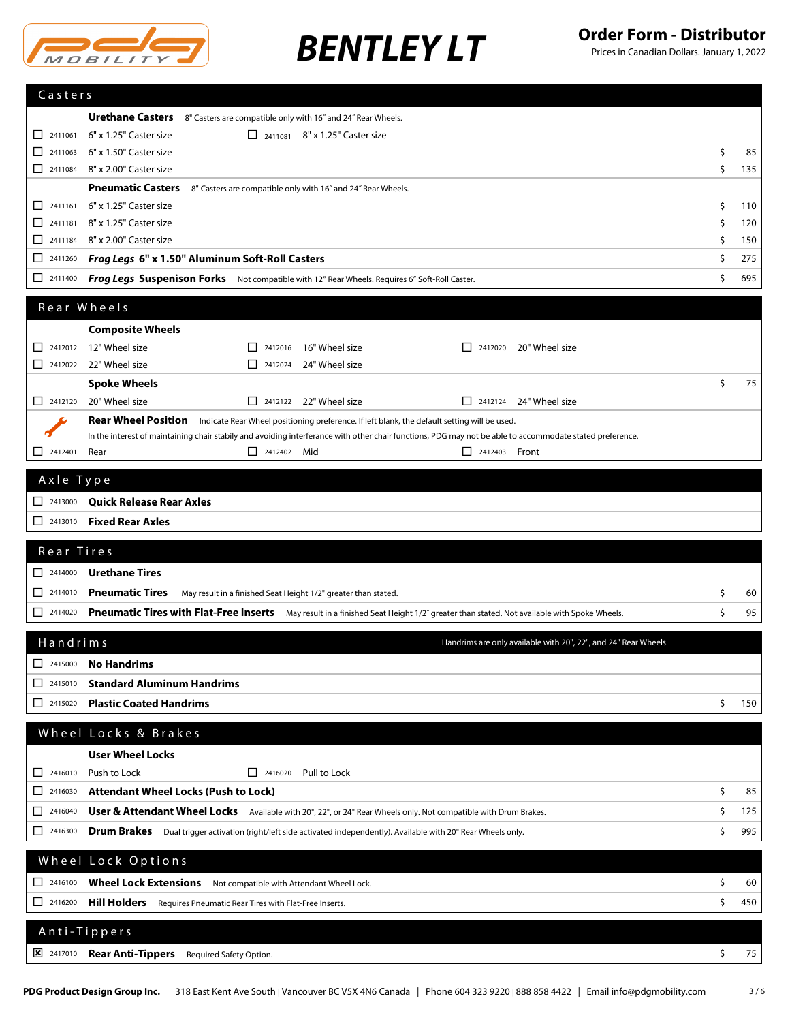

| Casters                                                                                                                                                                                                                                                                                                                                                                                                                        |                                                                                                                                                          |    |     |
|--------------------------------------------------------------------------------------------------------------------------------------------------------------------------------------------------------------------------------------------------------------------------------------------------------------------------------------------------------------------------------------------------------------------------------|----------------------------------------------------------------------------------------------------------------------------------------------------------|----|-----|
|                                                                                                                                                                                                                                                                                                                                                                                                                                | <b>Urethane Casters</b><br>8" Casters are compatible only with 16" and 24" Rear Wheels.                                                                  |    |     |
| $\Box$ 2411061                                                                                                                                                                                                                                                                                                                                                                                                                 | 6" x 1.25" Caster size<br>$\Box$ 2411081 8" x 1.25" Caster size                                                                                          |    |     |
| $\Box$ 2411063                                                                                                                                                                                                                                                                                                                                                                                                                 | 6" x 1.50" Caster size                                                                                                                                   | \$ | 85  |
| $\Box$ 2411084                                                                                                                                                                                                                                                                                                                                                                                                                 | 8" x 2.00" Caster size                                                                                                                                   | \$ | 135 |
|                                                                                                                                                                                                                                                                                                                                                                                                                                | <b>Pneumatic Casters</b><br>8" Casters are compatible only with 16" and 24" Rear Wheels.                                                                 |    |     |
| $\Box$ 2411161                                                                                                                                                                                                                                                                                                                                                                                                                 | 6" x 1.25" Caster size                                                                                                                                   | \$ | 110 |
| П<br>2411181                                                                                                                                                                                                                                                                                                                                                                                                                   | 8" x 1.25" Caster size                                                                                                                                   | Ś  | 120 |
| $\Box$ 2411184                                                                                                                                                                                                                                                                                                                                                                                                                 | 8" x 2.00" Caster size                                                                                                                                   | Ś  | 150 |
| 2411260<br>ப                                                                                                                                                                                                                                                                                                                                                                                                                   | Frog Legs 6" x 1.50" Aluminum Soft-Roll Casters                                                                                                          | \$ | 275 |
| 2411400<br>П                                                                                                                                                                                                                                                                                                                                                                                                                   | <b>Frog Legs Suspenison Forks</b> Not compatible with 12" Rear Wheels. Requires 6" Soft-Roll Caster.                                                     | \$ | 695 |
|                                                                                                                                                                                                                                                                                                                                                                                                                                |                                                                                                                                                          |    |     |
|                                                                                                                                                                                                                                                                                                                                                                                                                                | Rear Wheels                                                                                                                                              |    |     |
|                                                                                                                                                                                                                                                                                                                                                                                                                                | <b>Composite Wheels</b>                                                                                                                                  |    |     |
| П                                                                                                                                                                                                                                                                                                                                                                                                                              | 2412012 12" Wheel size<br>16" Wheel size<br>20" Wheel size<br>П<br>2412016<br>$\Box$ 2412020                                                             |    |     |
| $\Box$ 2412022                                                                                                                                                                                                                                                                                                                                                                                                                 | 22" Wheel size<br>24" Wheel size<br>$\Box$ 2412024                                                                                                       |    |     |
|                                                                                                                                                                                                                                                                                                                                                                                                                                | <b>Spoke Wheels</b>                                                                                                                                      | \$ | 75  |
| $\begin{array}{ c c c c c } \hline \quad & 2412120 \\ \hline \end{array}$                                                                                                                                                                                                                                                                                                                                                      | 20" Wheel size<br>$\Box$ 2412122 22" Wheel size<br>$\Box$ 2412124 24" Wheel size                                                                         |    |     |
|                                                                                                                                                                                                                                                                                                                                                                                                                                | <b>Rear Wheel Position</b><br>Indicate Rear Wheel positioning preference. If left blank, the default setting will be used.                               |    |     |
|                                                                                                                                                                                                                                                                                                                                                                                                                                | In the interest of maintaining chair stabily and avoiding interferance with other chair functions, PDG may not be able to accommodate stated preference. |    |     |
| 2412401<br>l I                                                                                                                                                                                                                                                                                                                                                                                                                 | Rear<br>$\Box$ 2412402 Mid<br>$\Box$ 2412403 Front                                                                                                       |    |     |
| Axle Type                                                                                                                                                                                                                                                                                                                                                                                                                      |                                                                                                                                                          |    |     |
| $\Box$ 2413000                                                                                                                                                                                                                                                                                                                                                                                                                 | <b>Quick Release Rear Axles</b>                                                                                                                          |    |     |
| $\Box$ 2413010                                                                                                                                                                                                                                                                                                                                                                                                                 | <b>Fixed Rear Axles</b>                                                                                                                                  |    |     |
|                                                                                                                                                                                                                                                                                                                                                                                                                                |                                                                                                                                                          |    |     |
| Rear Tires                                                                                                                                                                                                                                                                                                                                                                                                                     |                                                                                                                                                          |    |     |
| $\Box$ 2414000                                                                                                                                                                                                                                                                                                                                                                                                                 | <b>Urethane Tires</b>                                                                                                                                    |    |     |
| $\begin{array}{ c c }\n\hline\n\multicolumn{1}{ c }\n\hline\n\multicolumn{1}{ c }\n\hline\n\multicolumn{1}{ c }\n\hline\n\multicolumn{1}{ c }\n\hline\n\multicolumn{1}{ c }\n\hline\n\multicolumn{1}{ c }\n\hline\n\multicolumn{1}{ c }\n\hline\n\multicolumn{1}{ c }\n\hline\n\multicolumn{1}{ c }\n\hline\n\multicolumn{1}{ c }\n\hline\n\multicolumn{1}{ c }\n\hline\n\multicolumn{1}{ c }\n\hline\n\multicolumn{1}{ c }\n$ | <b>Pneumatic Tires</b><br>May result in a finished Seat Height 1/2" greater than stated.                                                                 | \$ | 60  |
| $\begin{array}{ c c c }\n\hline\n2414020\n\end{array}$                                                                                                                                                                                                                                                                                                                                                                         | Pneumatic Tires with Flat-Free Inserts May result in a finished Seat Height 1/2" greater than stated. Not available with Spoke Wheels.                   | \$ | 95  |
|                                                                                                                                                                                                                                                                                                                                                                                                                                |                                                                                                                                                          |    |     |
| Handrims                                                                                                                                                                                                                                                                                                                                                                                                                       | Handrims are only available with 20", 22", and 24" Rear Wheels.                                                                                          |    |     |
| ப<br>2415000                                                                                                                                                                                                                                                                                                                                                                                                                   | <b>No Handrims</b>                                                                                                                                       |    |     |
| ப<br>2415010                                                                                                                                                                                                                                                                                                                                                                                                                   | <b>Standard Aluminum Handrims</b>                                                                                                                        |    |     |
| ப<br>2415020                                                                                                                                                                                                                                                                                                                                                                                                                   | <b>Plastic Coated Handrims</b>                                                                                                                           | \$ | 150 |
|                                                                                                                                                                                                                                                                                                                                                                                                                                | Wheel Locks & Brakes                                                                                                                                     |    |     |
|                                                                                                                                                                                                                                                                                                                                                                                                                                |                                                                                                                                                          |    |     |
|                                                                                                                                                                                                                                                                                                                                                                                                                                | <b>User Wheel Locks</b>                                                                                                                                  |    |     |
| 2416010<br>⊔                                                                                                                                                                                                                                                                                                                                                                                                                   | Push to Lock<br>$\Box$ 2416020 Pull to Lock                                                                                                              |    |     |
| ⊔<br>2416030                                                                                                                                                                                                                                                                                                                                                                                                                   | <b>Attendant Wheel Locks (Push to Lock)</b>                                                                                                              | \$ | 85  |
| 2416040<br>⊔                                                                                                                                                                                                                                                                                                                                                                                                                   | User & Attendant Wheel Locks Available with 20", 22", or 24" Rear Wheels only. Not compatible with Drum Brakes.                                          | \$ | 125 |
| $\boxed{\phantom{1}}$ 2416300                                                                                                                                                                                                                                                                                                                                                                                                  | Drum Brakes Dual trigger activation (right/left side activated independently). Available with 20" Rear Wheels only.                                      | \$ | 995 |
|                                                                                                                                                                                                                                                                                                                                                                                                                                | Wheel Lock Options                                                                                                                                       |    |     |
|                                                                                                                                                                                                                                                                                                                                                                                                                                |                                                                                                                                                          |    |     |
| $\begin{array}{ c c }\n\hline\n\end{array}$ 2416100                                                                                                                                                                                                                                                                                                                                                                            | Wheel Lock Extensions Not compatible with Attendant Wheel Lock.                                                                                          | \$ | 60  |
| $\begin{array}{ c c }\n\hline\n\end{array}$ 2416200                                                                                                                                                                                                                                                                                                                                                                            | <b>Hill Holders</b> Requires Pneumatic Rear Tires with Flat-Free Inserts.                                                                                | \$ | 450 |
|                                                                                                                                                                                                                                                                                                                                                                                                                                | Anti-Tippers                                                                                                                                             |    |     |
|                                                                                                                                                                                                                                                                                                                                                                                                                                |                                                                                                                                                          |    |     |
| $\frac{\times}{2417010}$                                                                                                                                                                                                                                                                                                                                                                                                       | Rear Anti-Tippers Required Safety Option.                                                                                                                | \$ | 75  |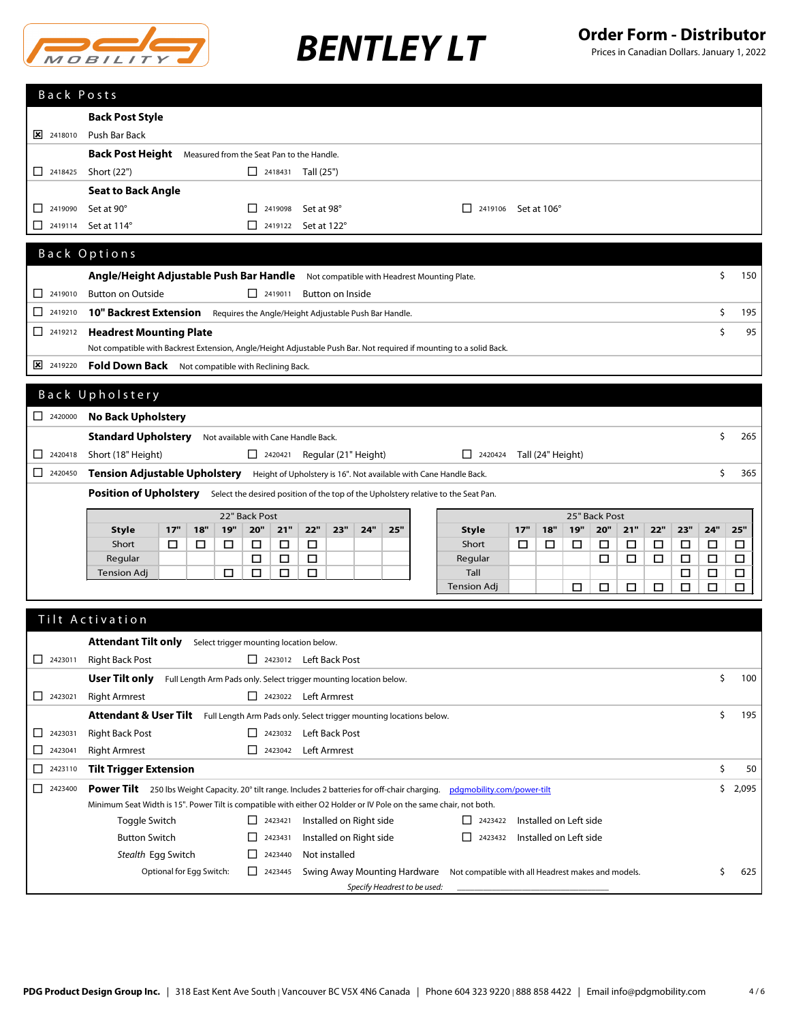

|                                                     | <b>Back Post Style</b>                                                                                                      |     |     |     |                                                       |        |            |                  |                         |     |                                                     |     |                   |                        |     |     |     |        |             |              |
|-----------------------------------------------------|-----------------------------------------------------------------------------------------------------------------------------|-----|-----|-----|-------------------------------------------------------|--------|------------|------------------|-------------------------|-----|-----------------------------------------------------|-----|-------------------|------------------------|-----|-----|-----|--------|-------------|--------------|
| $\boxed{\mathsf{x}}$ 2418010                        | Push Bar Back                                                                                                               |     |     |     |                                                       |        |            |                  |                         |     |                                                     |     |                   |                        |     |     |     |        |             |              |
|                                                     | <b>Back Post Height</b><br>Measured from the Seat Pan to the Handle.                                                        |     |     |     |                                                       |        |            |                  |                         |     |                                                     |     |                   |                        |     |     |     |        |             |              |
| $\begin{array}{ c c }\n\hline\n\end{array}$ 2418425 | Short (22")                                                                                                                 |     |     |     | $\Box$ 2418431 Tall (25")                             |        |            |                  |                         |     |                                                     |     |                   |                        |     |     |     |        |             |              |
|                                                     | <b>Seat to Back Angle</b>                                                                                                   |     |     |     |                                                       |        |            |                  |                         |     |                                                     |     |                   |                        |     |     |     |        |             |              |
|                                                     |                                                                                                                             |     |     |     |                                                       |        |            |                  |                         |     |                                                     |     |                   |                        |     |     |     |        |             |              |
| 2419090<br>ப                                        | Set at 90°                                                                                                                  |     |     |     | 2419098<br>$\Box$                                     |        | Set at 98° |                  |                         |     | $\Box$ 2419106 Set at 106°                          |     |                   |                        |     |     |     |        |             |              |
| 2419114<br>ப                                        | Set at 114°                                                                                                                 |     |     |     | $\Box$ 2419122 Set at 122°                            |        |            |                  |                         |     |                                                     |     |                   |                        |     |     |     |        |             |              |
|                                                     | Back Options                                                                                                                |     |     |     |                                                       |        |            |                  |                         |     |                                                     |     |                   |                        |     |     |     |        |             |              |
|                                                     |                                                                                                                             |     |     |     |                                                       |        |            |                  |                         |     |                                                     |     |                   |                        |     |     |     |        | \$          | 150          |
|                                                     | Angle/Height Adjustable Push Bar Handle Not compatible with Headrest Mounting Plate.                                        |     |     |     |                                                       |        |            |                  |                         |     |                                                     |     |                   |                        |     |     |     |        |             |              |
| $\Box$ 2419010                                      | <b>Button on Outside</b>                                                                                                    |     |     |     | $\begin{array}{ c c }\n\hline\n\end{array}$ 2419011   |        |            | Button on Inside |                         |     |                                                     |     |                   |                        |     |     |     |        |             |              |
| □<br>2419210                                        | <b>10" Backrest Extension</b>                                                                                               |     |     |     | Requires the Angle/Height Adjustable Push Bar Handle. |        |            |                  |                         |     |                                                     |     |                   |                        |     |     |     |        | \$          | 195          |
|                                                     | <b>Headrest Mounting Plate</b>                                                                                              |     |     |     |                                                       |        |            |                  |                         |     |                                                     |     |                   |                        |     |     |     |        | Ś.          | 95           |
|                                                     | Not compatible with Backrest Extension, Angle/Height Adjustable Push Bar. Not required if mounting to a solid Back.         |     |     |     |                                                       |        |            |                  |                         |     |                                                     |     |                   |                        |     |     |     |        |             |              |
| 2419220                                             | Fold Down Back Not compatible with Reclining Back.                                                                          |     |     |     |                                                       |        |            |                  |                         |     |                                                     |     |                   |                        |     |     |     |        |             |              |
|                                                     |                                                                                                                             |     |     |     |                                                       |        |            |                  |                         |     |                                                     |     |                   |                        |     |     |     |        |             |              |
|                                                     | Back Upholstery                                                                                                             |     |     |     |                                                       |        |            |                  |                         |     |                                                     |     |                   |                        |     |     |     |        |             |              |
| $\begin{array}{ c c }\n\hline\n\end{array}$ 2420000 | <b>No Back Upholstery</b>                                                                                                   |     |     |     |                                                       |        |            |                  |                         |     |                                                     |     |                   |                        |     |     |     |        |             |              |
|                                                     | <b>Standard Upholstery</b>                                                                                                  |     |     |     | Not available with Cane Handle Back.                  |        |            |                  |                         |     |                                                     |     |                   |                        |     |     |     |        | \$          | 265          |
| 2420418<br>ΙI                                       | Short (18" Height)                                                                                                          |     |     |     | $\Box$ 2420421 Regular (21" Height)                   |        |            |                  |                         |     | $\Box$ 2420424                                      |     | Tall (24" Height) |                        |     |     |     |        |             |              |
| $\begin{array}{ c c }\n\hline\n\end{array}$ 2420450 | Tension Adjustable Upholstery Height of Upholstery is 16". Not available with Cane Handle Back.                             |     |     |     |                                                       |        |            |                  |                         |     |                                                     |     |                   |                        |     |     |     |        | Ś.          | 365          |
|                                                     |                                                                                                                             |     |     |     |                                                       |        |            |                  |                         |     |                                                     |     |                   |                        |     |     |     |        |             |              |
|                                                     | Position of Upholstery Select the desired position of the top of the Upholstery relative to the Seat Pan.                   |     |     |     |                                                       |        |            |                  |                         |     |                                                     |     |                   |                        |     |     |     |        |             |              |
|                                                     | 22" Back Post<br>25" Back Post                                                                                              |     |     |     |                                                       |        |            |                  |                         |     |                                                     |     |                   |                        |     |     |     |        |             |              |
|                                                     |                                                                                                                             |     |     |     |                                                       |        |            |                  |                         |     |                                                     |     |                   |                        |     |     |     |        |             |              |
|                                                     | Style                                                                                                                       | 17" | 18" | 19" | 20"                                                   | 21"    | 22"        | 23"              | 24"                     | 25" | <b>Style</b>                                        | 17" | 18"               | 19"                    | 20" | 21" | 22" | 23"    | 24"         | 25"          |
|                                                     | Short                                                                                                                       | □   | □   | □   | □                                                     | □      | □          |                  |                         |     | Short                                               | □   | □                 | □                      | □   | □   | □   | □      | $\Box$      | □            |
|                                                     | Regular<br>Tension Adj                                                                                                      |     |     | □   | $\Box$<br>□                                           | □<br>□ | □<br>□     |                  |                         |     | Regular<br>Tall                                     |     |                   |                        | □   | □   | □   | □<br>□ | □<br>$\Box$ | □<br>□       |
|                                                     |                                                                                                                             |     |     |     |                                                       |        |            |                  |                         |     | <b>Tension Adj</b>                                  |     |                   | □                      | □   | □   | □   | □      | □           | □            |
|                                                     |                                                                                                                             |     |     |     |                                                       |        |            |                  |                         |     |                                                     |     |                   |                        |     |     |     |        |             |              |
|                                                     | Tilt Activation                                                                                                             |     |     |     |                                                       |        |            |                  |                         |     |                                                     |     |                   |                        |     |     |     |        |             |              |
|                                                     |                                                                                                                             |     |     |     |                                                       |        |            |                  |                         |     |                                                     |     |                   |                        |     |     |     |        |             |              |
|                                                     | <b>Attendant Tilt only</b>                                                                                                  |     |     |     | Select trigger mounting location below.               |        |            |                  |                         |     |                                                     |     |                   |                        |     |     |     |        |             |              |
| $\Box$ 2423011                                      | <b>Right Back Post</b>                                                                                                      |     |     |     | 2423012 Left Back Post                                |        |            |                  |                         |     |                                                     |     |                   |                        |     |     |     |        |             |              |
|                                                     | <b>User Tilt only</b> Full Length Arm Pads only. Select trigger mounting location below.                                    |     |     |     |                                                       |        |            |                  |                         |     |                                                     |     |                   |                        |     |     |     |        | \$          | 100          |
| $\begin{array}{ c c }\n\hline\n\end{array}$ 2423021 | <b>Right Armrest</b>                                                                                                        |     |     |     | 2423022 Left Armrest                                  |        |            |                  |                         |     |                                                     |     |                   |                        |     |     |     |        |             |              |
|                                                     | Attendant & User Tilt Full Length Arm Pads only. Select trigger mounting locations below.                                   |     |     |     |                                                       |        |            |                  |                         |     |                                                     |     |                   |                        |     |     |     |        | \$          | 195          |
| 2423031<br>⊔                                        | <b>Right Back Post</b>                                                                                                      |     |     |     | 2423032 Left Back Post                                |        |            |                  |                         |     |                                                     |     |                   |                        |     |     |     |        |             |              |
| ப<br>2423041                                        | <b>Right Armrest</b>                                                                                                        |     |     |     | 2423042 Left Armrest                                  |        |            |                  |                         |     |                                                     |     |                   |                        |     |     |     |        |             |              |
| ப<br>2423110                                        | <b>Tilt Trigger Extension</b>                                                                                               |     |     |     |                                                       |        |            |                  |                         |     |                                                     |     |                   |                        |     |     |     |        | \$          | 50           |
| 2423400<br>ப                                        | Power Tilt 250 lbs Weight Capacity. 20° tilt range. Includes 2 batteries for off-chair charging. pdgmobility.com/power-tilt |     |     |     |                                                       |        |            |                  |                         |     |                                                     |     |                   |                        |     |     |     |        |             | \$.<br>2,095 |
|                                                     | Minimum Seat Width is 15". Power Tilt is compatible with either O2 Holder or IV Pole on the same chair, not both.           |     |     |     |                                                       |        |            |                  |                         |     |                                                     |     |                   |                        |     |     |     |        |             |              |
|                                                     | Toggle Switch                                                                                                               |     |     |     | $\Box$ 2423421                                        |        |            |                  | Installed on Right side |     | $\Box$ 2423422                                      |     |                   | Installed on Left side |     |     |     |        |             |              |
|                                                     | <b>Button Switch</b>                                                                                                        |     |     |     | П<br>2423431                                          |        |            |                  | Installed on Right side |     | $\begin{array}{ c c }\n\hline\n\end{array}$ 2423432 |     |                   | Installed on Left side |     |     |     |        |             |              |
|                                                     | Stealth Egg Switch                                                                                                          |     |     |     | $\Box$ 2423440                                        |        |            | Not installed    |                         |     |                                                     |     |                   |                        |     |     |     |        |             |              |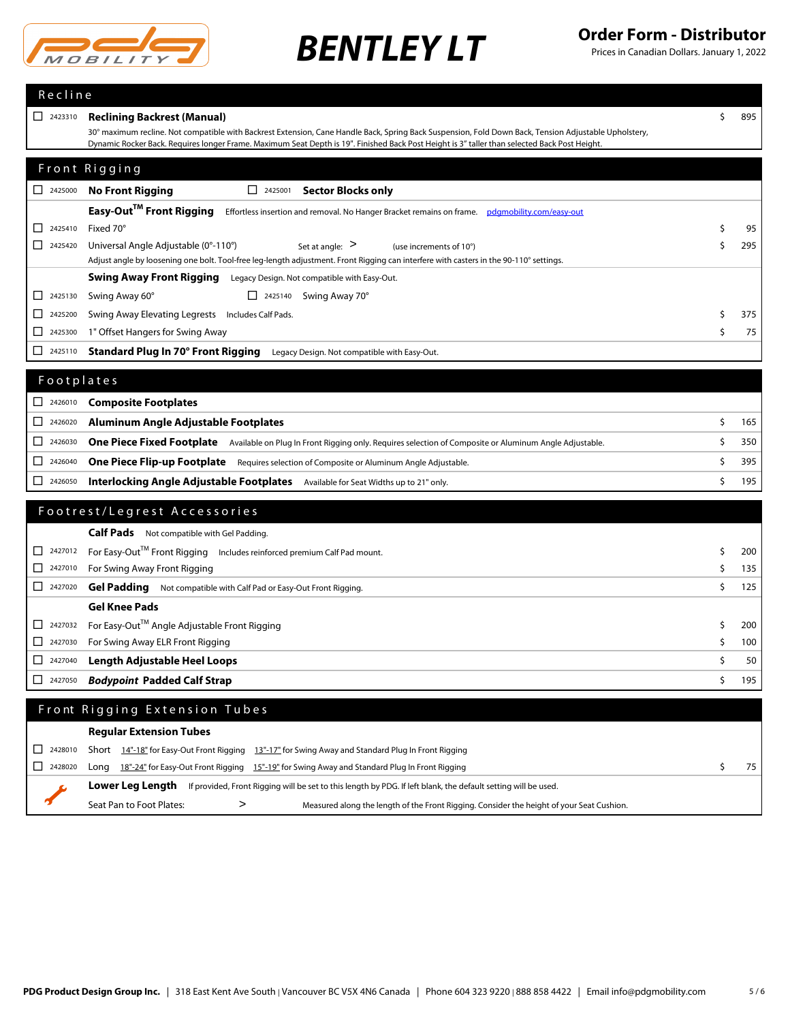

| Recline                                             |                                                                                                                                                                                                                                                                                                        |           |
|-----------------------------------------------------|--------------------------------------------------------------------------------------------------------------------------------------------------------------------------------------------------------------------------------------------------------------------------------------------------------|-----------|
| $\begin{array}{ c c }\n\hline\n\end{array}$ 2423310 | <b>Reclining Backrest (Manual)</b>                                                                                                                                                                                                                                                                     | \$<br>895 |
|                                                     | 30° maximum recline. Not compatible with Backrest Extension, Cane Handle Back, Spring Back Suspension, Fold Down Back, Tension Adjustable Upholstery,<br>Dynamic Rocker Back. Requires longer Frame. Maximum Seat Depth is 19". Finished Back Post Height is 3" taller than selected Back Post Height. |           |
|                                                     |                                                                                                                                                                                                                                                                                                        |           |
|                                                     | Front Rigging                                                                                                                                                                                                                                                                                          |           |
| $\begin{array}{ c c }\n\hline\n\end{array}$ 2425000 | <b>No Front Rigging</b><br>$\begin{array}{ c c }\n\hline\n\end{array}$ 2425001<br><b>Sector Blocks only</b>                                                                                                                                                                                            |           |
|                                                     | Easy-Out™ Front Rigging<br>Effortless insertion and removal. No Hanger Bracket remains on frame. pdgmobility.com/easy-out                                                                                                                                                                              |           |
| 2425410<br>□                                        | Fixed 70°                                                                                                                                                                                                                                                                                              | \$<br>95  |
| $2425420$                                           | Universal Angle Adjustable (0°-110°)<br>Set at angle: $>$<br>(use increments of 10°)                                                                                                                                                                                                                   | \$<br>295 |
|                                                     | Adjust angle by loosening one bolt. Tool-free leg-length adjustment. Front Rigging can interfere with casters in the 90-110° settings.                                                                                                                                                                 |           |
|                                                     | <b>Swing Away Front Rigging</b><br>Legacy Design. Not compatible with Easy-Out.                                                                                                                                                                                                                        |           |
| 2425130<br>ப                                        | Swing Away 60°<br>$\Box$ 2425140 Swing Away 70°                                                                                                                                                                                                                                                        |           |
| 2425200<br>ப                                        | Swing Away Elevating Legrests Includes Calf Pads.                                                                                                                                                                                                                                                      | \$<br>375 |
| 2425300<br>ப                                        | 1" Offset Hangers for Swing Away                                                                                                                                                                                                                                                                       | \$<br>75  |
| □<br>2425110                                        | Standard Plug In 70° Front Rigging<br>Legacy Design. Not compatible with Easy-Out.                                                                                                                                                                                                                     |           |
| Footplates                                          |                                                                                                                                                                                                                                                                                                        |           |
|                                                     |                                                                                                                                                                                                                                                                                                        |           |
| $2426010$                                           | <b>Composite Footplates</b>                                                                                                                                                                                                                                                                            |           |
| □<br>2426020                                        | <b>Aluminum Angle Adjustable Footplates</b>                                                                                                                                                                                                                                                            | \$<br>165 |
| □<br>2426030                                        | <b>One Piece Fixed Footplate</b> Available on Plug In Front Rigging only. Requires selection of Composite or Aluminum Angle Adjustable.                                                                                                                                                                | \$<br>350 |
| □<br>2426040                                        | One Piece Flip-up Footplate Requires selection of Composite or Aluminum Angle Adjustable.                                                                                                                                                                                                              | \$<br>395 |
| $\begin{array}{ c c }\n\hline\n\end{array}$ 2426050 | <b>Interlocking Angle Adjustable Footplates</b> Available for Seat Widths up to 21" only.                                                                                                                                                                                                              | \$<br>195 |
|                                                     | Footrest/Legrest Accessories                                                                                                                                                                                                                                                                           |           |
|                                                     |                                                                                                                                                                                                                                                                                                        |           |
|                                                     | Calf Pads Not compatible with Gel Padding.                                                                                                                                                                                                                                                             |           |
| 2427012<br>□                                        | For Easy-Out™ Front Rigging Includes reinforced premium Calf Pad mount.                                                                                                                                                                                                                                | \$<br>200 |
| □<br>2427010                                        | For Swing Away Front Rigging                                                                                                                                                                                                                                                                           | \$<br>135 |
| $2427020$                                           | Gel Padding<br>Not compatible with Calf Pad or Easy-Out Front Rigging.                                                                                                                                                                                                                                 | \$<br>125 |
|                                                     | <b>Gel Knee Pads</b>                                                                                                                                                                                                                                                                                   |           |
| 2427032<br>ப                                        | For Easy-Out™ Angle Adjustable Front Rigging                                                                                                                                                                                                                                                           | \$<br>200 |
| ப<br>2427030                                        | For Swing Away ELR Front Rigging                                                                                                                                                                                                                                                                       | \$<br>100 |
| □<br>2427040                                        | <b>Length Adjustable Heel Loops</b>                                                                                                                                                                                                                                                                    | \$<br>50  |
| 2427050                                             | <b>Bodypoint Padded Calf Strap</b>                                                                                                                                                                                                                                                                     | \$<br>195 |
|                                                     | Front Rigging Extension Tubes                                                                                                                                                                                                                                                                          |           |
|                                                     | <b>Regular Extension Tubes</b>                                                                                                                                                                                                                                                                         |           |
| 2428010                                             |                                                                                                                                                                                                                                                                                                        |           |
| ப<br>□<br>2428020                                   | Short 14"-18" for Easy-Out Front Rigging 13"-17" for Swing Away and Standard Plug In Front Rigging<br>Long 18"-24" for Easy-Out Front Rigging 15"-19" for Swing Away and Standard Plug In Front Rigging                                                                                                | \$<br>75  |
|                                                     | Lower Leg Length If provided, Front Rigging will be set to this length by PDG. If left blank, the default setting will be used.                                                                                                                                                                        |           |
|                                                     |                                                                                                                                                                                                                                                                                                        |           |
|                                                     | Seat Pan to Foot Plates:<br>Measured along the length of the Front Rigging. Consider the height of your Seat Cushion.<br>>                                                                                                                                                                             |           |